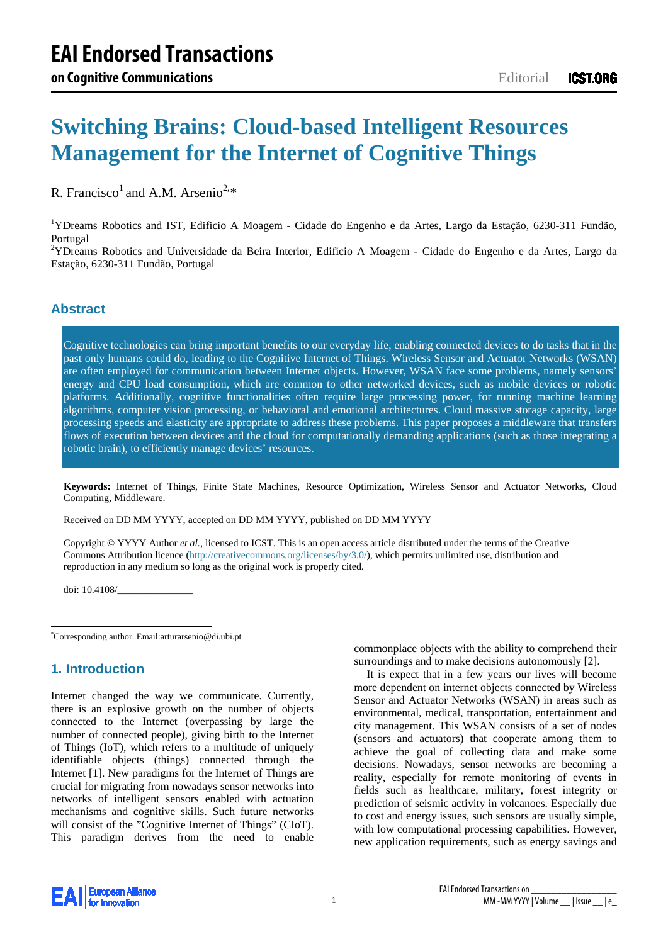# **Switching Brains: Cloud-based Intelligent Resources Management for the Internet of Cognitive Things**

R. Francisco<sup>1</sup> and A.M. Arsenio<sup>2,[\\*](#page-0-0)</sup>

<sup>1</sup>YDreams Robotics and IST, Edificio A Moagem - Cidade do Engenho e da Artes, Largo da Estação, 6230-311 Fundão, Portugal

<sup>2</sup>YDreams Robotics and Universidade da Beira Interior, Edificio A Moagem - Cidade do Engenho e da Artes, Largo da Estação, 6230-311 Fundão, Portugal

## **Abstract**

Cognitive technologies can bring important benefits to our everyday life, enabling connected devices to do tasks that in the past only humans could do, leading to the Cognitive Internet of Things. Wireless Sensor and Actuator Networks (WSAN) are often employed for communication between Internet objects. However, WSAN face some problems, namely sensors' energy and CPU load consumption, which are common to other networked devices, such as mobile devices or robotic platforms. Additionally, cognitive functionalities often require large processing power, for running machine learning algorithms, computer vision processing, or behavioral and emotional architectures. Cloud massive storage capacity, large processing speeds and elasticity are appropriate to address these problems. This paper proposes a middleware that transfers flows of execution between devices and the cloud for computationally demanding applications (such as those integrating a robotic brain), to efficiently manage devices' resources.

**Keywords:** Internet of Things, Finite State Machines, Resource Optimization, Wireless Sensor and Actuator Networks, Cloud Computing, Middleware.

| 5 H F H L Y H G R Q                       | 'H F H P E H U |                                |  | D F F H S W H G R O |
|-------------------------------------------|----------------|--------------------------------|--|---------------------|
| & R S \ U L J K W $\leftarrow$            |                | \$ U V H Q L R D Q G 5 ) U D Q |  |                     |
| & UHDWLYH & RPPRQV \$WWULEXWLRQ OLFHQFH   |                |                                |  |                     |
| UHSURGXFWLRQ LQ DQ\ PHGLXP VR ORQJ DV WKI |                |                                |  |                     |
| G R L                                     |                |                                |  |                     |

## <span id="page-0-0"></span>**1.Introduction**

Internet changed the way we communicate. Currently, there is an explosive growth on the number of objects connected to the Internet (overpassing by large the number of connected people), giving birth to the Internet of Things (IoT), which refers to a multitude of uniquely identifiable objects (things) connected through the Internet [1]. New paradigms for the Internet of Things are crucial for migrating from nowadays sensor networks into networks of intelligent sensors enabled with actuation mechanisms and cognitive skills. Such future networks will consist of the "Cognitive Internet of Things" (CIoT). This paradigm derives from the need to enable

commonplace objects with the ability to comprehend their surroundings and to make decisions autonomously [2].

It is expect that in a few years our lives will become more dependent on internet objects connected by Wireless Sensor and Actuator Networks (WSAN) in areas such as environmental, medical, transportation, entertainment and city management. This WSAN consists of a set of nodes (sensors and actuators) that cooperate among them to achieve the goal of collecting data and make some decisions. Nowadays, sensor networks are becoming a reality, especially for remote monitoring of events in fields such as healthcare, military, forest integrity or prediction of seismic activity in volcanoes. Especially due to cost and energy issues, such sensors are usually simple, with low computational processing capabilities. However, new application requirements, such as energy savings and

RUHVSROGLOJAD WKRU A (PDLO DUW UDUVHOLR GL EL SWA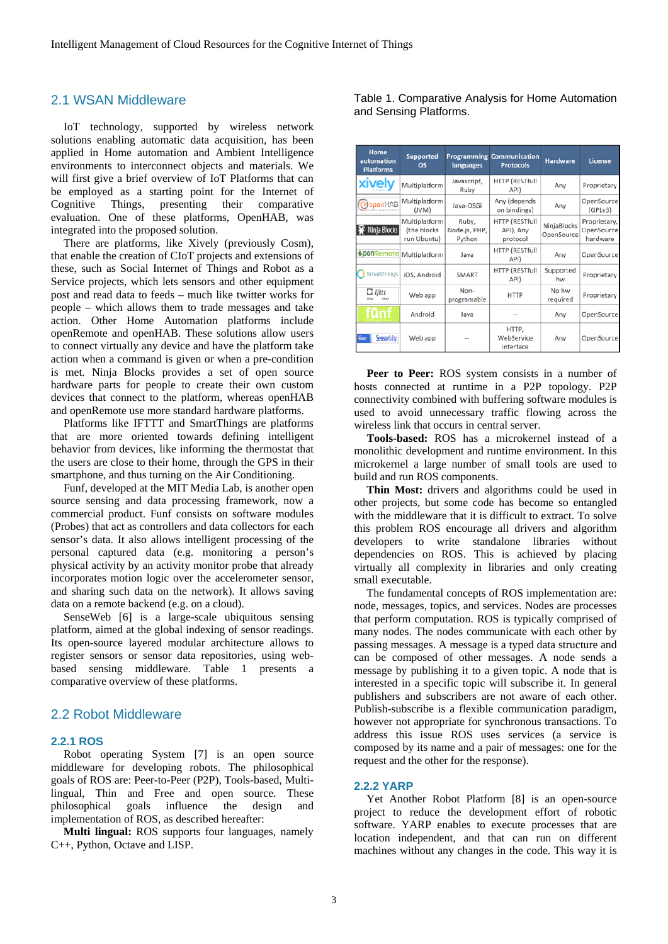## 2.1 WSAN Middleware

IoT technology, supported by wireless network solutions enabling automatic data acquisition, has been applied in Home automation and Ambient Intelligence environments to interconnect objects and materials. We will first give a brief overview of IoT Platforms that can be employed as a starting point for the Internet of Cognitive Things, presenting their comparative evaluation. One of these platforms, OpenHAB, was integrated into the proposed solution.

There are platforms, like Xively (previously Cosm), that enable the creation of CIoT projects and extensions of these, such as Social Internet of Things and Robot as a Service projects, which lets sensors and other equipment post and read data to feeds – much like twitter works for people – which allows them to trade messages and take action. Other Home Automation platforms include openRemote and openHAB. These solutions allow users to connect virtually any device and have the platform take action when a command is given or when a pre-condition is met. Ninja Blocks provides a set of open source hardware parts for people to create their own custom devices that connect to the platform, whereas openHAB and openRemote use more standard hardware platforms.

Platforms like IFTTT and SmartThings are platforms that are more oriented towards defining intelligent behavior from devices, like informing the thermostat that the users are close to their home, through the GPS in their smartphone, and thus turning on the Air Conditioning.

Funf, developed at the MIT Media Lab, is another open source sensing and data processing framework, now a commercial product. Funf consists on software modules (Probes) that act as controllers and data collectors for each sensor's data. It also allows intelligent processing of the personal captured data (e.g. monitoring a person's physical activity by an activity monitor probe that already incorporates motion logic over the accelerometer sensor, and sharing such data on the network). It allows saving data on a remote backend (e.g. on a cloud).

SenseWeb [6] is a large-scale ubiquitous sensing platform, aimed at the global indexing of sensor readings. Its open-source layered modular architecture allows to register sensors or sensor data repositories, using webbased sensing middleware. Table 1 presents a comparative overview of these platforms.

#### 2.2 Robot Middleware

#### **2.2.1 ROS**

Robot operating System [7] is an open source middleware for developing robots. The philosophical goals of ROS are: Peer-to-Peer (P2P), Tools-based, Multilingual, Thin and Free and open source. These philosophical goals influence the design and implementation of ROS, as described hereafter:

**Multi lingual:** ROS supports four languages, namely C++, Python, Octave and LISP.

Table 1. Comparative Analysis for Home Automation and Sensing Platforms.

| Home<br>automation<br><b>Platforms</b> | <b>Supported</b><br><b>OS</b>               | <b>Programming</b><br>languages  | <b>Communication</b><br><b>Protocols</b>       | <b>Hardware</b>           | License                                |
|----------------------------------------|---------------------------------------------|----------------------------------|------------------------------------------------|---------------------------|----------------------------------------|
| xively                                 | Multiplatform                               | Javascript,<br>Ruby              | <b>HTTP (RESTfull</b><br>API)                  | Any                       | Proprietary                            |
| r) openHAB                             | Multiplatform<br>(JVM)                      | Java-OSGi                        | Any (depends<br>on bindings)                   | Any                       | OpenSource<br>(GPLv3)                  |
| Winja Blocks                           | Multiplatform<br>(the blocks<br>run Ubuntu) | Ruby.<br>Node.js, PHP,<br>Python | <b>HTTP (RESTfull</b><br>API), Any<br>protocol | NinjaBlocks<br>OpenSource | Proprietary,<br>OpenSource<br>hardware |
| <b>C</b> penRemote                     | Multiplatform                               | Java                             | <b>HTTP (RESTfull</b><br>API)                  | Any                       | OpenSource                             |
| <b>SmartThings</b>                     | iOS, Android                                | SMART                            | <b>HTTP (RESTfull</b><br>API)                  | Supported<br>hw           | Proprietary                            |
| $\Box$ ifttt<br>- that<br>this         | Web app                                     | Non-<br>programable              | <b>HTTP</b>                                    | No hw<br>required         | Proprietary                            |
| fūni                                   | Android                                     | Java                             | - -                                            | Any                       | OpenSource                             |
| Touch<br>SensorMap                     | Web app                                     | --                               | HTTP,<br>WebService<br>interface               | Any                       | OpenSource                             |

**Peer to Peer:** ROS system consists in a number of hosts connected at runtime in a P2P topology. P2P connectivity combined with buffering software modules is used to avoid unnecessary traffic flowing across the wireless link that occurs in central server.

**Tools-based:** ROS has a microkernel instead of a monolithic development and runtime environment. In this microkernel a large number of small tools are used to build and run ROS components.

**Thin Most:** drivers and algorithms could be used in other projects, but some code has become so entangled with the middleware that it is difficult to extract. To solve this problem ROS encourage all drivers and algorithm developers to write standalone libraries without dependencies on ROS. This is achieved by placing virtually all complexity in libraries and only creating small executable.

The fundamental concepts of ROS implementation are: node, messages, topics, and services. Nodes are processes that perform computation. ROS is typically comprised of many nodes. The nodes communicate with each other by passing messages. A message is a typed data structure and can be composed of other messages. A node sends a message by publishing it to a given topic. A node that is interested in a specific topic will subscribe it. In general publishers and subscribers are not aware of each other. Publish-subscribe is a flexible communication paradigm, however not appropriate for synchronous transactions. To address this issue ROS uses services (a service is composed by its name and a pair of messages: one for the request and the other for the response).

#### **2.2.2 YARP**

Yet Another Robot Platform [8] is an open-source project to reduce the development effort of robotic software. YARP enables to execute processes that are location independent, and that can run on different machines without any changes in the code. This way it is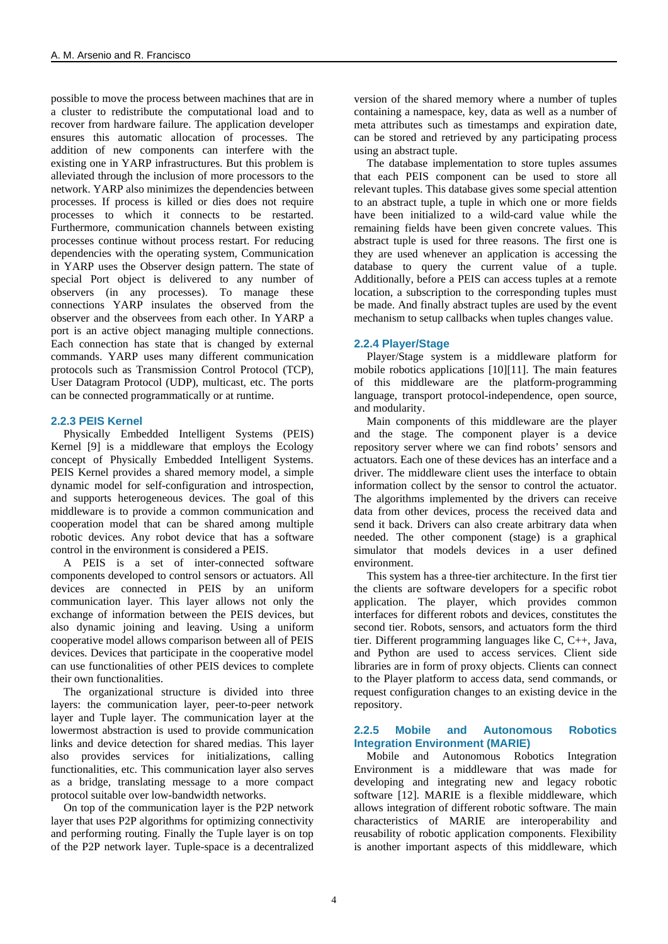possible to move the process between machines that are in a cluster to redistribute the computational load and to recover from hardware failure. The application developer ensures this automatic allocation of processes. The addition of new components can interfere with the existing one in YARP infrastructures. But this problem is alleviated through the inclusion of more processors to the network. YARP also minimizes the dependencies between processes. If process is killed or dies does not require processes to which it connects to be restarted. Furthermore, communication channels between existing processes continue without process restart. For reducing dependencies with the operating system, Communication in YARP uses the Observer design pattern. The state of special Port object is delivered to any number of observers (in any processes). To manage these connections YARP insulates the observed from the observer and the observees from each other. In YARP a port is an active object managing multiple connections. Each connection has state that is changed by external commands. YARP uses many different communication protocols such as Transmission Control Protocol (TCP), User Datagram Protocol (UDP), multicast, etc. The ports can be connected programmatically or at runtime.

#### **2.2.3 PEIS Kernel**

Physically Embedded Intelligent Systems (PEIS) Kernel [9] is a middleware that employs the Ecology concept of Physically Embedded Intelligent Systems. PEIS Kernel provides a shared memory model, a simple dynamic model for self-configuration and introspection, and supports heterogeneous devices. The goal of this middleware is to provide a common communication and cooperation model that can be shared among multiple robotic devices. Any robot device that has a software control in the environment is considered a PEIS.

A PEIS is a set of inter-connected software components developed to control sensors or actuators. All devices are connected in PEIS by an uniform communication layer. This layer allows not only the exchange of information between the PEIS devices, but also dynamic joining and leaving. Using a uniform cooperative model allows comparison between all of PEIS devices. Devices that participate in the cooperative model can use functionalities of other PEIS devices to complete their own functionalities.

The organizational structure is divided into three layers: the communication layer, peer-to-peer network layer and Tuple layer. The communication layer at the lowermost abstraction is used to provide communication links and device detection for shared medias. This layer also provides services for initializations, calling functionalities, etc. This communication layer also serves as a bridge, translating message to a more compact protocol suitable over low-bandwidth networks.

On top of the communication layer is the P2P network layer that uses P2P algorithms for optimizing connectivity and performing routing. Finally the Tuple layer is on top of the P2P network layer. Tuple-space is a decentralized version of the shared memory where a number of tuples containing a namespace, key, data as well as a number of meta attributes such as timestamps and expiration date, can be stored and retrieved by any participating process using an abstract tuple.

The database implementation to store tuples assumes that each PEIS component can be used to store all relevant tuples. This database gives some special attention to an abstract tuple, a tuple in which one or more fields have been initialized to a wild-card value while the remaining fields have been given concrete values. This abstract tuple is used for three reasons. The first one is they are used whenever an application is accessing the database to query the current value of a tuple. Additionally, before a PEIS can access tuples at a remote location, a subscription to the corresponding tuples must be made. And finally abstract tuples are used by the event mechanism to setup callbacks when tuples changes value.

#### **2.2.4 Player/Stage**

Player/Stage system is a middleware platform for mobile robotics applications [10][11]. The main features of this middleware are the platform-programming language, transport protocol-independence, open source, and modularity.

Main components of this middleware are the player and the stage. The component player is a device repository server where we can find robots' sensors and actuators. Each one of these devices has an interface and a driver. The middleware client uses the interface to obtain information collect by the sensor to control the actuator. The algorithms implemented by the drivers can receive data from other devices, process the received data and send it back. Drivers can also create arbitrary data when needed. The other component (stage) is a graphical simulator that models devices in a user defined environment.

This system has a three-tier architecture. In the first tier the clients are software developers for a specific robot application. The player, which provides common interfaces for different robots and devices, constitutes the second tier. Robots, sensors, and actuators form the third tier. Different programming languages like C, C++, Java, and Python are used to access services. Client side libraries are in form of proxy objects. Clients can connect to the Player platform to access data, send commands, or request configuration changes to an existing device in the repository.

#### **2.2.5 Mobile and Autonomous Robotics Integration Environment (MARIE)**

Mobile and Autonomous Robotics Integration Environment is a middleware that was made for developing and integrating new and legacy robotic software [12]. MARIE is a flexible middleware, which allows integration of different robotic software. The main characteristics of MARIE are interoperability and reusability of robotic application components. Flexibility is another important aspects of this middleware, which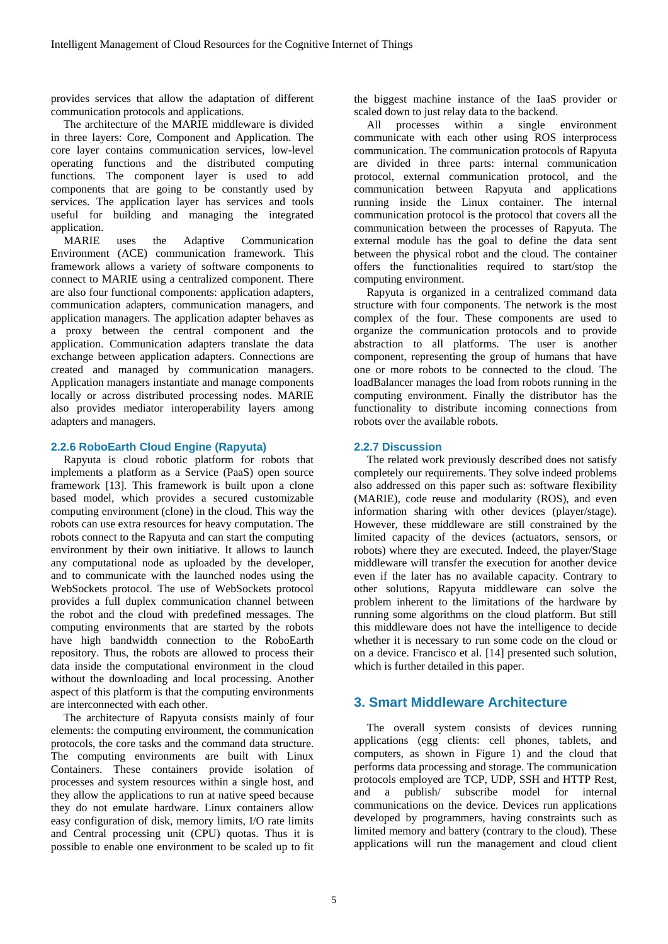provides services that allow the adaptation of different communication protocols and applications.

The architecture of the MARIE middleware is divided in three layers: Core, Component and Application. The core layer contains communication services, low-level operating functions and the distributed computing functions. The component layer is used to add components that are going to be constantly used by services. The application layer has services and tools useful for building and managing the integrated application.

MARIE uses the Adaptive Communication Environment (ACE) communication framework. This framework allows a variety of software components to connect to MARIE using a centralized component. There are also four functional components: application adapters, communication adapters, communication managers, and application managers. The application adapter behaves as a proxy between the central component and the application. Communication adapters translate the data exchange between application adapters. Connections are created and managed by communication managers. Application managers instantiate and manage components locally or across distributed processing nodes. MARIE also provides mediator interoperability layers among adapters and managers.

#### **2.2.6 RoboEarth Cloud Engine (Rapyuta)**

Rapyuta is cloud robotic platform for robots that implements a platform as a Service (PaaS) open source framework [13]. This framework is built upon a clone based model, which provides a secured customizable computing environment (clone) in the cloud. This way the robots can use extra resources for heavy computation. The robots connect to the Rapyuta and can start the computing environment by their own initiative. It allows to launch any computational node as uploaded by the developer, and to communicate with the launched nodes using the WebSockets protocol. The use of WebSockets protocol provides a full duplex communication channel between the robot and the cloud with predefined messages. The computing environments that are started by the robots have high bandwidth connection to the RoboEarth repository. Thus, the robots are allowed to process their data inside the computational environment in the cloud without the downloading and local processing. Another aspect of this platform is that the computing environments are interconnected with each other.

The architecture of Rapyuta consists mainly of four elements: the computing environment, the communication protocols, the core tasks and the command data structure. The computing environments are built with Linux Containers. These containers provide isolation of processes and system resources within a single host, and they allow the applications to run at native speed because they do not emulate hardware. Linux containers allow easy configuration of disk, memory limits, I/O rate limits and Central processing unit (CPU) quotas. Thus it is possible to enable one environment to be scaled up to fit

the biggest machine instance of the IaaS provider or scaled down to just relay data to the backend.

All processes within a single environment communicate with each other using ROS interprocess communication. The communication protocols of Rapyuta are divided in three parts: internal communication protocol, external communication protocol, and the communication between Rapyuta and applications running inside the Linux container. The internal communication protocol is the protocol that covers all the communication between the processes of Rapyuta. The external module has the goal to define the data sent between the physical robot and the cloud. The container offers the functionalities required to start/stop the computing environment.

Rapyuta is organized in a centralized command data structure with four components. The network is the most complex of the four. These components are used to organize the communication protocols and to provide abstraction to all platforms. The user is another component, representing the group of humans that have one or more robots to be connected to the cloud. The loadBalancer manages the load from robots running in the computing environment. Finally the distributor has the functionality to distribute incoming connections from robots over the available robots.

#### **2.2.7 Discussion**

The related work previously described does not satisfy completely our requirements. They solve indeed problems also addressed on this paper such as: software flexibility (MARIE), code reuse and modularity (ROS), and even information sharing with other devices (player/stage). However, these middleware are still constrained by the limited capacity of the devices (actuators, sensors, or robots) where they are executed. Indeed, the player/Stage middleware will transfer the execution for another device even if the later has no available capacity. Contrary to other solutions, Rapyuta middleware can solve the problem inherent to the limitations of the hardware by running some algorithms on the cloud platform. But still this middleware does not have the intelligence to decide whether it is necessary to run some code on the cloud or on a device. Francisco et al. [14] presented such solution, which is further detailed in this paper.

#### **3. Smart Middleware Architecture**

The overall system consists of devices running applications (egg clients: cell phones, tablets, and computers, as shown in Figure 1) and the cloud that performs data processing and storage. The communication protocols employed are TCP, UDP, SSH and HTTP Rest, and a publish/ subscribe model for internal communications on the device. Devices run applications developed by programmers, having constraints such as limited memory and battery (contrary to the cloud). These applications will run the management and cloud client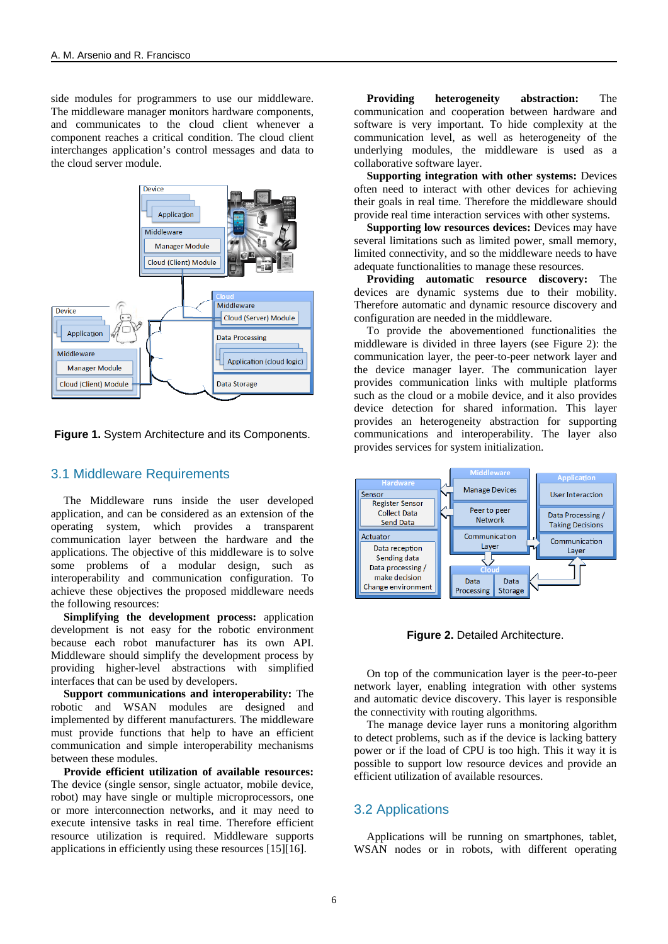side modules for programmers to use our middleware. The middleware manager monitors hardware components, and communicates to the cloud client whenever a component reaches a critical condition. The cloud client interchanges application's control messages and data to the cloud server module.



**Figure 1.** System Architecture and its Components.

#### 3.1 Middleware Requirements

The Middleware runs inside the user developed application, and can be considered as an extension of the operating system, which provides a transparent communication layer between the hardware and the applications. The objective of this middleware is to solve some problems of a modular design, such as interoperability and communication configuration. To achieve these objectives the proposed middleware needs the following resources:

**Simplifying the development process:** application development is not easy for the robotic environment because each robot manufacturer has its own API. Middleware should simplify the development process by providing higher-level abstractions with simplified interfaces that can be used by developers.

**Support communications and interoperability:** The robotic and WSAN modules are designed and implemented by different manufacturers. The middleware must provide functions that help to have an efficient communication and simple interoperability mechanisms between these modules.

**Provide efficient utilization of available resources:** The device (single sensor, single actuator, mobile device, robot) may have single or multiple microprocessors, one or more interconnection networks, and it may need to execute intensive tasks in real time. Therefore efficient resource utilization is required. Middleware supports applications in efficiently using these resources [15][16].

**Providing heterogeneity abstraction:** The communication and cooperation between hardware and software is very important. To hide complexity at the communication level, as well as heterogeneity of the underlying modules, the middleware is used as a collaborative software layer.

**Supporting integration with other systems:** Devices often need to interact with other devices for achieving their goals in real time. Therefore the middleware should provide real time interaction services with other systems.

**Supporting low resources devices:** Devices may have several limitations such as limited power, small memory, limited connectivity, and so the middleware needs to have adequate functionalities to manage these resources.

**Providing automatic resource discovery:** The devices are dynamic systems due to their mobility. Therefore automatic and dynamic resource discovery and configuration are needed in the middleware.

To provide the abovementioned functionalities the middleware is divided in three layers (see Figure 2): the communication layer, the peer-to-peer network layer and the device manager layer. The communication layer provides communication links with multiple platforms such as the cloud or a mobile device, and it also provides device detection for shared information. This layer provides an heterogeneity abstraction for supporting communications and interoperability. The layer also provides services for system initialization.



**Figure 2.** Detailed Architecture.

On top of the communication layer is the peer-to-peer network layer, enabling integration with other systems and automatic device discovery. This layer is responsible the connectivity with routing algorithms.

The manage device layer runs a monitoring algorithm to detect problems, such as if the device is lacking battery power or if the load of CPU is too high. This it way it is possible to support low resource devices and provide an efficient utilization of available resources.

## 3.2 Applications

Applications will be running on smartphones, tablet, WSAN nodes or in robots, with different operating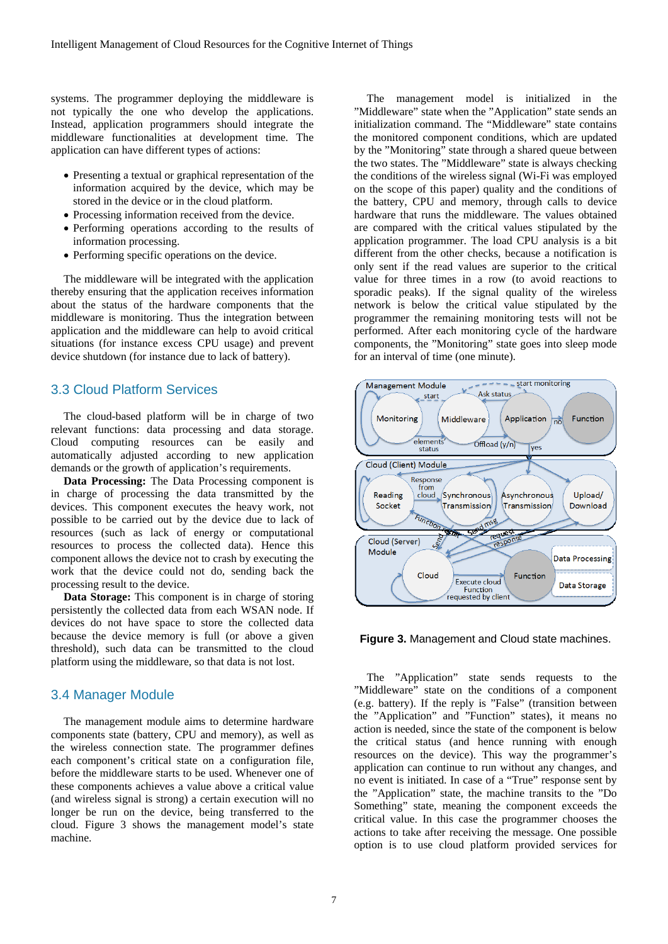systems. The programmer deploying the middleware is not typically the one who develop the applications. Instead, application programmers should integrate the middleware functionalities at development time. The application can have different types of actions:

- Presenting a textual or graphical representation of the information acquired by the device, which may be stored in the device or in the cloud platform.
- Processing information received from the device.
- Performing operations according to the results of information processing.
- Performing specific operations on the device.

The middleware will be integrated with the application thereby ensuring that the application receives information about the status of the hardware components that the middleware is monitoring. Thus the integration between application and the middleware can help to avoid critical situations (for instance excess CPU usage) and prevent device shutdown (for instance due to lack of battery).

# 3.3 Cloud Platform Services

The cloud-based platform will be in charge of two relevant functions: data processing and data storage. Cloud computing resources can be easily and automatically adjusted according to new application demands or the growth of application's requirements.

**Data Processing:** The Data Processing component is in charge of processing the data transmitted by the devices. This component executes the heavy work, not possible to be carried out by the device due to lack of resources (such as lack of energy or computational resources to process the collected data). Hence this component allows the device not to crash by executing the work that the device could not do, sending back the processing result to the device.

**Data Storage:** This component is in charge of storing persistently the collected data from each WSAN node. If devices do not have space to store the collected data because the device memory is full (or above a given threshold), such data can be transmitted to the cloud platform using the middleware, so that data is not lost.

#### 3.4 Manager Module

The management module aims to determine hardware components state (battery, CPU and memory), as well as the wireless connection state. The programmer defines each component's critical state on a configuration file, before the middleware starts to be used. Whenever one of these components achieves a value above a critical value (and wireless signal is strong) a certain execution will no longer be run on the device, being transferred to the cloud. Figure 3 shows the management model's state machine.

The management model is initialized in the "Middleware" state when the "Application" state sends an initialization command. The "Middleware" state contains the monitored component conditions, which are updated by the "Monitoring" state through a shared queue between the two states. The "Middleware" state is always checking the conditions of the wireless signal (Wi-Fi was employed on the scope of this paper) quality and the conditions of the battery, CPU and memory, through calls to device hardware that runs the middleware. The values obtained are compared with the critical values stipulated by the application programmer. The load CPU analysis is a bit different from the other checks, because a notification is only sent if the read values are superior to the critical value for three times in a row (to avoid reactions to sporadic peaks). If the signal quality of the wireless network is below the critical value stipulated by the programmer the remaining monitoring tests will not be performed. After each monitoring cycle of the hardware components, the "Monitoring" state goes into sleep mode for an interval of time (one minute).



**Figure 3.** Management and Cloud state machines.

The "Application" state sends requests to the "Middleware" state on the conditions of a component (e.g. battery). If the reply is "False" (transition between the "Application" and "Function" states), it means no action is needed, since the state of the component is below the critical status (and hence running with enough resources on the device). This way the programmer's application can continue to run without any changes, and no event is initiated. In case of a "True" response sent by the "Application" state, the machine transits to the "Do Something" state, meaning the component exceeds the critical value. In this case the programmer chooses the actions to take after receiving the message. One possible option is to use cloud platform provided services for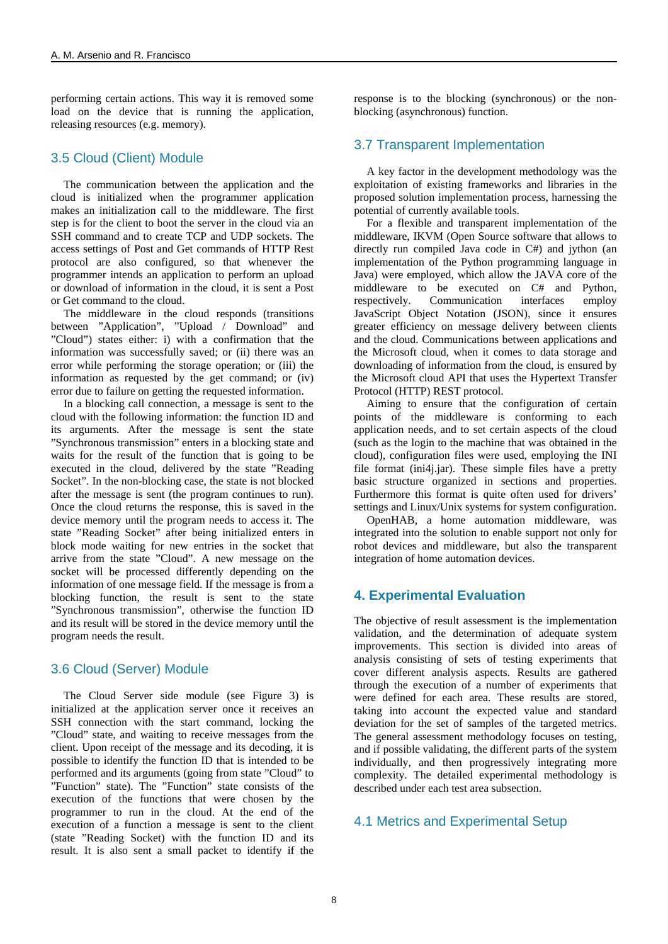performing certain actions. This way it is removed some load on the device that is running the application, releasing resources (e.g. memory).

# 3.5 Cloud (Client) Module

The communication between the application and the cloud is initialized when the programmer application makes an initialization call to the middleware. The first step is for the client to boot the server in the cloud via an SSH command and to create TCP and UDP sockets. The access settings of Post and Get commands of HTTP Rest protocol are also configured, so that whenever the programmer intends an application to perform an upload or download of information in the cloud, it is sent a Post or Get command to the cloud.

The middleware in the cloud responds (transitions between "Application", "Upload / Download" and "Cloud") states either: i) with a confirmation that the information was successfully saved; or (ii) there was an error while performing the storage operation; or (iii) the information as requested by the get command; or (iv) error due to failure on getting the requested information.

In a blocking call connection, a message is sent to the cloud with the following information: the function ID and its arguments. After the message is sent the state "Synchronous transmission" enters in a blocking state and waits for the result of the function that is going to be executed in the cloud, delivered by the state "Reading Socket". In the non-blocking case, the state is not blocked after the message is sent (the program continues to run). Once the cloud returns the response, this is saved in the device memory until the program needs to access it. The state "Reading Socket" after being initialized enters in block mode waiting for new entries in the socket that arrive from the state "Cloud". A new message on the socket will be processed differently depending on the information of one message field. If the message is from a blocking function, the result is sent to the state "Synchronous transmission", otherwise the function ID and its result will be stored in the device memory until the program needs the result.

## 3.6 Cloud (Server) Module

The Cloud Server side module (see Figure 3) is initialized at the application server once it receives an SSH connection with the start command, locking the "Cloud" state, and waiting to receive messages from the client. Upon receipt of the message and its decoding, it is possible to identify the function ID that is intended to be performed and its arguments (going from state "Cloud" to "Function" state). The "Function" state consists of the execution of the functions that were chosen by the programmer to run in the cloud. At the end of the execution of a function a message is sent to the client (state "Reading Socket) with the function ID and its result. It is also sent a small packet to identify if the response is to the blocking (synchronous) or the nonblocking (asynchronous) function.

# 3.7 Transparent Implementation

A key factor in the development methodology was the exploitation of existing frameworks and libraries in the proposed solution implementation process, harnessing the potential of currently available tools.

For a flexible and transparent implementation of the middleware, IKVM (Open Source software that allows to directly run compiled Java code in C#) and jython (an implementation of the Python programming language in Java) were employed, which allow the JAVA core of the middleware to be executed on C# and Python, respectively. Communication interfaces employ JavaScript Object Notation (JSON), since it ensures greater efficiency on message delivery between clients and the cloud. Communications between applications and the Microsoft cloud, when it comes to data storage and downloading of information from the cloud, is ensured by the Microsoft cloud API that uses the Hypertext Transfer Protocol (HTTP) REST protocol.

Aiming to ensure that the configuration of certain points of the middleware is conforming to each application needs, and to set certain aspects of the cloud (such as the login to the machine that was obtained in the cloud), configuration files were used, employing the INI file format (ini4j.jar). These simple files have a pretty basic structure organized in sections and properties. Furthermore this format is quite often used for drivers' settings and Linux/Unix systems for system configuration.

OpenHAB, a home automation middleware, was integrated into the solution to enable support not only for robot devices and middleware, but also the transparent integration of home automation devices.

# **4. Experimental Evaluation**

The objective of result assessment is the implementation validation, and the determination of adequate system improvements. This section is divided into areas of analysis consisting of sets of testing experiments that cover different analysis aspects. Results are gathered through the execution of a number of experiments that were defined for each area. These results are stored, taking into account the expected value and standard deviation for the set of samples of the targeted metrics. The general assessment methodology focuses on testing, and if possible validating, the different parts of the system individually, and then progressively integrating more complexity. The detailed experimental methodology is described under each test area subsection.

## 4.1 Metrics and Experimental Setup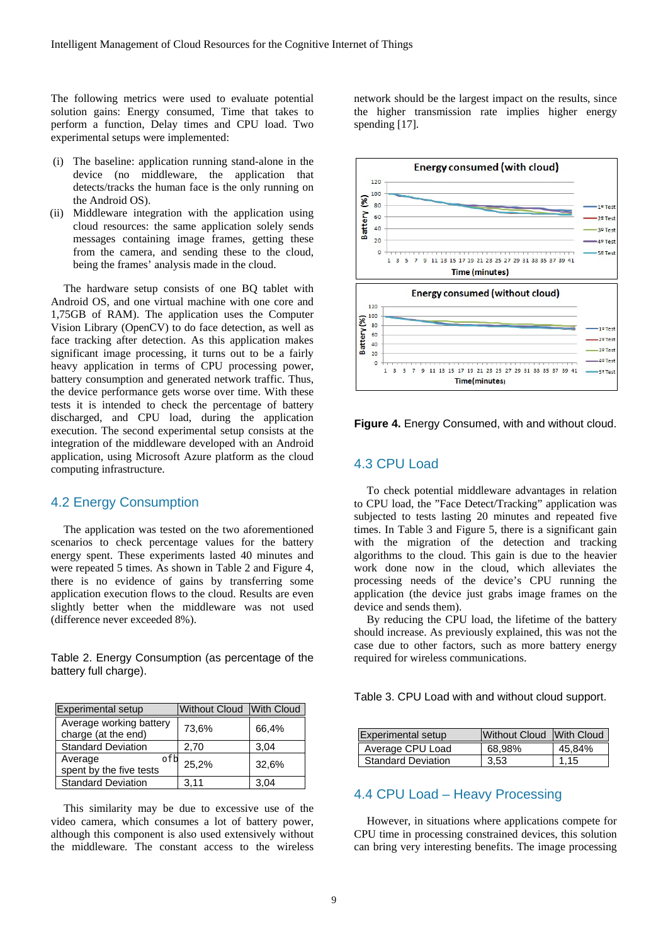The following metrics were used to evaluate potential solution gains: Energy consumed, Time that takes to perform a function, Delay times and CPU load. Two experimental setups were implemented:

- (i) The baseline: application running stand-alone in the device (no middleware, the application that detects/tracks the human face is the only running on the Android OS).
- (ii) Middleware integration with the application using cloud resources: the same application solely sends messages containing image frames, getting these from the camera, and sending these to the cloud, being the frames' analysis made in the cloud.

The hardware setup consists of one BQ tablet with Android OS, and one virtual machine with one core and 1,75GB of RAM). The application uses the Computer Vision Library (OpenCV) to do face detection, as well as face tracking after detection. As this application makes significant image processing, it turns out to be a fairly heavy application in terms of CPU processing power, battery consumption and generated network traffic. Thus, the device performance gets worse over time. With these tests it is intended to check the percentage of battery discharged, and CPU load, during the application execution. The second experimental setup consists at the integration of the middleware developed with an Android application, using Microsoft Azure platform as the cloud computing infrastructure.

#### 4.2 Energy Consumption

The application was tested on the two aforementioned scenarios to check percentage values for the battery energy spent. These experiments lasted 40 minutes and were repeated 5 times. As shown in Table 2 and Figure 4, there is no evidence of gains by transferring some application execution flows to the cloud. Results are even slightly better when the middleware was not used (difference never exceeded 8%).

Table 2. Energy Consumption (as percentage of the battery full charge).

| <b>Experimental setup</b>                      | Without Cloud   With Cloud |       |
|------------------------------------------------|----------------------------|-------|
| Average working battery<br>charge (at the end) | 73,6%                      | 66,4% |
| <b>Standard Deviation</b>                      | 2,70                       | 3.04  |
| Average<br>spent by the five tests             | 25,2%                      | 32,6% |
| <b>Standard Deviation</b>                      | 3,11                       | 3.04  |

This similarity may be due to excessive use of the video camera, which consumes a lot of battery power, although this component is also used extensively without the middleware. The constant access to the wireless

network should be the largest impact on the results, since the higher transmission rate implies higher energy spending [17].





## 4.3 CPU Load

To check potential middleware advantages in relation to CPU load, the "Face Detect/Tracking" application was subjected to tests lasting 20 minutes and repeated five times. In Table 3 and Figure 5, there is a significant gain with the migration of the detection and tracking algorithms to the cloud. This gain is due to the heavier work done now in the cloud, which alleviates the processing needs of the device's CPU running the application (the device just grabs image frames on the device and sends them).

By reducing the CPU load, the lifetime of the battery should increase. As previously explained, this was not the case due to other factors, such as more battery energy required for wireless communications.

Table 3. CPU Load with and without cloud support.

| <b>Experimental setup</b> | Without Cloud With Cloud |        |
|---------------------------|--------------------------|--------|
| Average CPU Load          | 68.98%                   | 45,84% |
| <b>Standard Deviation</b> | 3.53                     | 1.15   |

## 4.4 CPU Load – Heavy Processing

However, in situations where applications compete for CPU time in processing constrained devices, this solution can bring very interesting benefits. The image processing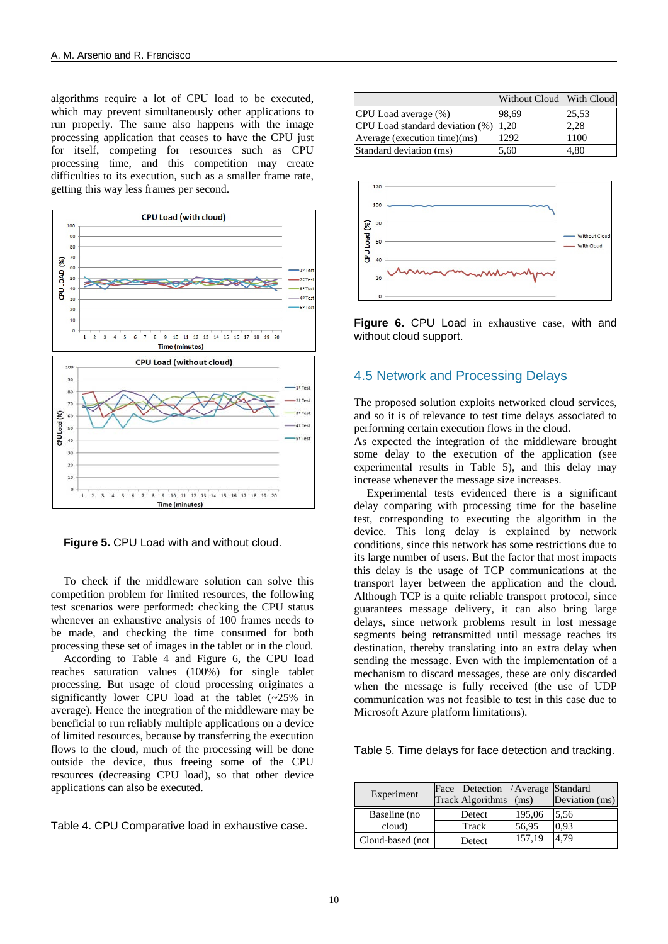algorithms require a lot of CPU load to be executed, which may prevent simultaneously other applications to run properly. The same also happens with the image processing application that ceases to have the CPU just for itself, competing for resources such as CPU processing time, and this competition may create difficulties to its execution, such as a smaller frame rate, getting this way less frames per second.



**Figure 5.** CPU Load with and without cloud.

To check if the middleware solution can solve this competition problem for limited resources, the following test scenarios were performed: checking the CPU status whenever an exhaustive analysis of 100 frames needs to be made, and checking the time consumed for both processing these set of images in the tablet or in the cloud.

According to Table 4 and Figure 6, the CPU load reaches saturation values (100%) for single tablet processing. But usage of cloud processing originates a significantly lower CPU load at the tablet  $(-25\%$  in average). Hence the integration of the middleware may be beneficial to run reliably multiple applications on a device of limited resources, because by transferring the execution flows to the cloud, much of the processing will be done outside the device, thus freeing some of the CPU resources (decreasing CPU load), so that other device applications can also be executed.

Table 4. CPU Comparative load in exhaustive case.

|                                      | Without Cloud With Cloud |       |
|--------------------------------------|--------------------------|-------|
| CPU Load average (%)                 | 98,69                    | 25,53 |
| CPU Load standard deviation (%) 1,20 |                          | 2.28  |
| Average (execution time)(ms)         | 1292                     | 1100  |
| Standard deviation (ms)              | 5.60                     | 4.80  |



**Figure 6.** CPU Load in exhaustive case, with and without cloud support.

#### 4.5 Network and Processing Delays

The proposed solution exploits networked cloud services, and so it is of relevance to test time delays associated to performing certain execution flows in the cloud.

As expected the integration of the middleware brought some delay to the execution of the application (see experimental results in Table 5), and this delay may increase whenever the message size increases.

Experimental tests evidenced there is a significant delay comparing with processing time for the baseline test, corresponding to executing the algorithm in the device. This long delay is explained by network conditions, since this network has some restrictions due to its large number of users. But the factor that most impacts this delay is the usage of TCP communications at the transport layer between the application and the cloud. Although TCP is a quite reliable transport protocol, since guarantees message delivery, it can also bring large delays, since network problems result in lost message segments being retransmitted until message reaches its destination, thereby translating into an extra delay when sending the message. Even with the implementation of a mechanism to discard messages, these are only discarded when the message is fully received (the use of UDP communication was not feasible to test in this case due to Microsoft Azure platform limitations).

Table 5. Time delays for face detection and tracking.

| Experiment       | Face Detection / Average Standard<br><b>Track Algorithms</b> | (ms)   | Deviation (ms) |
|------------------|--------------------------------------------------------------|--------|----------------|
| Baseline (no     | Detect                                                       | 195,06 | 5,56           |
| cloud)           | Track                                                        | 56,95  | 0.93           |
| Cloud-based (not | Detect                                                       | 157,19 | 4.79           |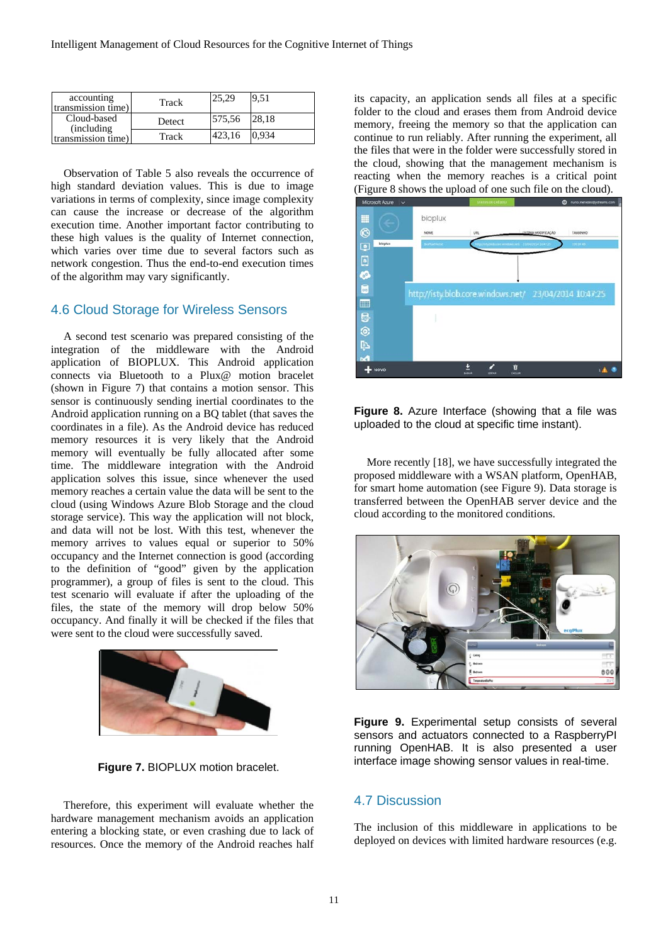| accounting<br>transmission time) | Track  | 25,29  | 9.51  |
|----------------------------------|--------|--------|-------|
| Cloud-based<br>(including)       | Detect | 575,56 | 28,18 |
| transmission time)               | Track  | 423,16 | 0.934 |

Observation of Table 5 also reveals the occurrence of high standard deviation values. This is due to image variations in terms of complexity, since image complexity can cause the increase or decrease of the algorithm execution time. Another important factor contributing to these high values is the quality of Internet connection, which varies over time due to several factors such as network congestion. Thus the end-to-end execution times of the algorithm may vary significantly.

## 4.6 Cloud Storage for Wireless Sensors

A second test scenario was prepared consisting of the integration of the middleware with the Android application of BIOPLUX. This Android application connects via Bluetooth to a Plux@ motion bracelet (shown in Figure 7) that contains a motion sensor. This sensor is continuously sending inertial coordinates to the Android application running on a BQ tablet (that saves the coordinates in a file). As the Android device has reduced memory resources it is very likely that the Android memory will eventually be fully allocated after some time. The middleware integration with the Android application solves this issue, since whenever the used memory reaches a certain value the data will be sent to the cloud (using Windows Azure Blob Storage and the cloud storage service). This way the application will not block, and data will not be lost. With this test, whenever the memory arrives to values equal or superior to 50% occupancy and the Internet connection is good (according to the definition of "good" given by the application programmer), a group of files is sent to the cloud. This test scenario will evaluate if after the uploading of the files, the state of the memory will drop below 50% occupancy. And finally it will be checked if the files that were sent to the cloud were successfully saved.



**Figure 7. BIOPLUX motion bracelet.** 

Therefore, this experiment will evaluate whether the hardware management mechanism avoids an application entering a blocking state, or even crashing due to lack of resources. Once the memory of the Android reaches half

its capacity, an application sends all files at a specific folder to the cloud and erases them from Android device memory, freeing the memory so that the application can continue to run reliably. After running the experiment, all the files that were in the folder were successfully stored in the cloud, showing that the management mechanism is reacting when the memory reaches is a critical point (Figure 8 shows the upload of one such file on the cloud).



**Figure 8.** Azure Interface (showing that a file was uploaded to the cloud at specific time instant).

More recently [18], we have successfully integrated the proposed middleware with a WSAN platform, OpenHAB, for smart home automation (see Figure 9). Data storage is transferred between the OpenHAB server device and the cloud according to the monitored conditions.



**Figure 9.** Experimental setup consists of several sensors and actuators connected to a RaspberryPI running OpenHAB. It is also presented a user interface image showing sensor values in real-time.

#### 4.7 Discussion

The inclusion of this middleware in applications to be deployed on devices with limited hardware resources (e.g.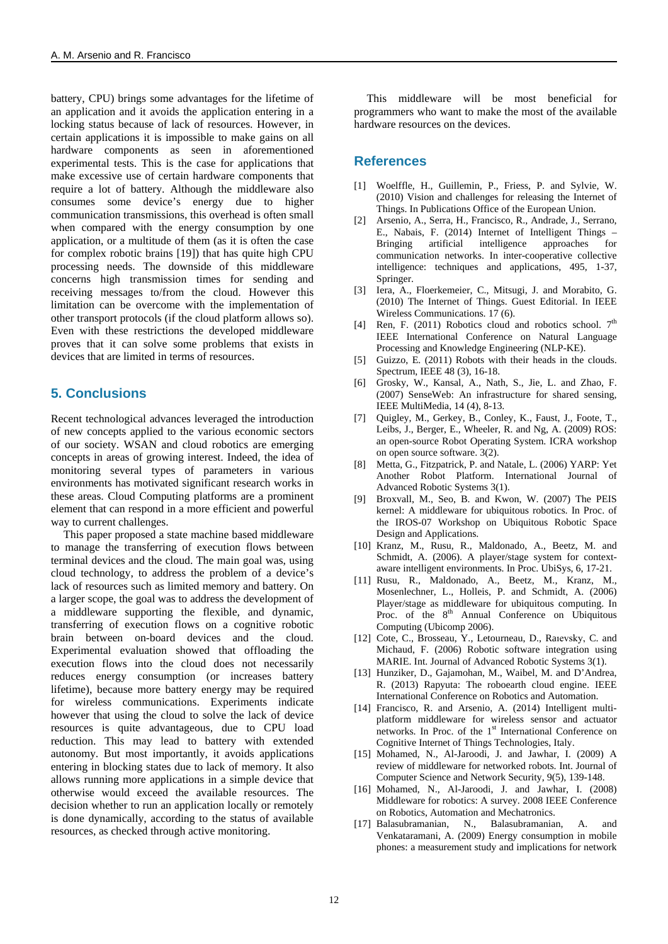battery, CPU) brings some advantages for the lifetime of an application and it avoids the application entering in a locking status because of lack of resources. However, in certain applications it is impossible to make gains on all hardware components as seen in aforementioned experimental tests. This is the case for applications that make excessive use of certain hardware components that require a lot of battery. Although the middleware also consumes some device's energy due to higher communication transmissions, this overhead is often small when compared with the energy consumption by one application, or a multitude of them (as it is often the case for complex robotic brains [19]) that has quite high CPU processing needs. The downside of this middleware concerns high transmission times for sending and receiving messages to/from the cloud. However this limitation can be overcome with the implementation of other transport protocols (if the cloud platform allows so). Even with these restrictions the developed middleware proves that it can solve some problems that exists in devices that are limited in terms of resources.

# **5. Conclusions**

Recent technological advances leveraged the introduction of new concepts applied to the various economic sectors of our society. WSAN and cloud robotics are emerging concepts in areas of growing interest. Indeed, the idea of monitoring several types of parameters in various environments has motivated significant research works in these areas. Cloud Computing platforms are a prominent element that can respond in a more efficient and powerful way to current challenges.

This paper proposed a state machine based middleware to manage the transferring of execution flows between terminal devices and the cloud. The main goal was, using cloud technology, to address the problem of a device's lack of resources such as limited memory and battery. On a larger scope, the goal was to address the development of a middleware supporting the flexible, and dynamic, transferring of execution flows on a cognitive robotic brain between on-board devices and the cloud. Experimental evaluation showed that offloading the execution flows into the cloud does not necessarily reduces energy consumption (or increases battery lifetime), because more battery energy may be required for wireless communications. Experiments indicate however that using the cloud to solve the lack of device resources is quite advantageous, due to CPU load reduction. This may lead to battery with extended autonomy. But most importantly, it avoids applications entering in blocking states due to lack of memory. It also allows running more applications in a simple device that otherwise would exceed the available resources. The decision whether to run an application locally or remotely is done dynamically, according to the status of available resources, as checked through active monitoring.

This middleware will be most beneficial for programmers who want to make the most of the available hardware resources on the devices.

## **References**

- [1] Woelffle, H., Guillemin, P., Friess, P. and Sylvie, W. (2010) Vision and challenges for releasing the Internet of Things. In Publications Office of the European Union.
- [2] Arsenio, A., Serra, H., Francisco, R., Andrade, J., Serrano, E., Nabais, F. (2014) Internet of Intelligent Things – Bringing artificial intelligence approaches for communication networks. In inter-cooperative collective intelligence: techniques and applications, 495, 1-37, Springer.
- [3] Iera, A., Floerkemeier, C., Mitsugi, J. and Morabito, G. (2010) The Internet of Things. Guest Editorial. In IEEE Wireless Communications. 17 (6).
- [4] Ren, F. (2011) Robotics cloud and robotics school.  $7<sup>th</sup>$ IEEE International Conference on Natural Language Processing and Knowledge Engineering (NLP-KE).
- [5] Guizzo, E. (2011) Robots with their heads in the clouds. Spectrum, IEEE 48 (3), 16-18.
- [6] Grosky, W., Kansal, A., Nath, S., Jie, L. and Zhao, F. (2007) SenseWeb: An infrastructure for shared sensing, IEEE MultiMedia, 14 (4), 8-13.
- [7] Quigley, M., Gerkey, B., Conley, K., Faust, J., Foote, T., Leibs, J., Berger, E., Wheeler, R. and Ng, A. (2009) ROS: an open-source Robot Operating System. ICRA workshop on open source software. 3(2).
- [8] Metta, G., Fitzpatrick, P. and Natale, L. (2006) YARP: Yet Another Robot Platform. International Journal of Advanced Robotic Systems 3(1).
- [9] Broxvall, M., Seo, B. and Kwon, W. (2007) The PEIS kernel: A middleware for ubiquitous robotics. In Proc. of the IROS-07 Workshop on Ubiquitous Robotic Space Design and Applications.
- [10] Kranz, M., Rusu, R., Maldonado, A., Beetz, M. and Schmidt, A. (2006). A player/stage system for contextaware intelligent environments. In Proc. UbiSys, 6, 17-21.
- [11] Rusu, R., Maldonado, A., Beetz, M., Kranz, M., Mosenlechner, L., Holleis, P. and Schmidt, A. (2006) Player/stage as middleware for ubiquitous computing. In Proc. of the 8<sup>th</sup> Annual Conference on Ubiquitous Computing (Ubicomp 2006).
- [12] Cote, C., Brosseau, Y., Letourneau, D., Raievsky, C. and Michaud, F. (2006) Robotic software integration using MARIE. Int. Journal of Advanced Robotic Systems 3(1).
- [13] Hunziker, D., Gajamohan, M., Waibel, M. and D'Andrea, R. (2013) Rapyuta: The roboearth cloud engine. IEEE International Conference on Robotics and Automation.
- [14] Francisco, R. and Arsenio, A. (2014) Intelligent multiplatform middleware for wireless sensor and actuator networks. In Proc. of the  $1<sup>st</sup>$  International Conference on Cognitive Internet of Things Technologies, Italy.
- [15] Mohamed, N., Al-Jaroodi, J. and Jawhar, I. (2009) A review of middleware for networked robots. Int. Journal of Computer Science and Network Security, 9(5), 139-148.
- [16] Mohamed, N., Al-Jaroodi, J. and Jawhar, I. (2008) Middleware for robotics: A survey. 2008 IEEE Conference on Robotics, Automation and Mechatronics.
- [17] Balasubramanian, N., Balasubramanian, A. and Venkataramani, A. (2009) Energy consumption in mobile phones: a measurement study and implications for network